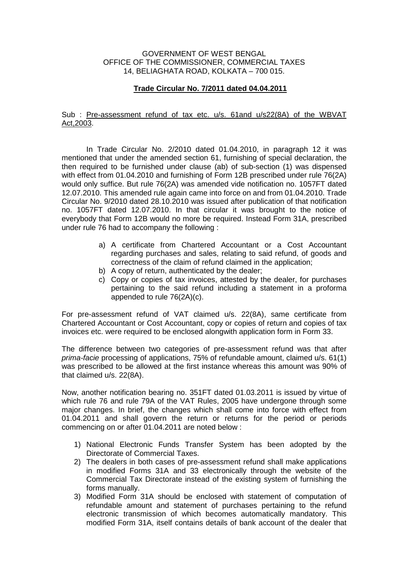## GOVERNMENT OF WEST BENGAL OFFICE OF THE COMMISSIONER, COMMERCIAL TAXES 14, BELIAGHATA ROAD, KOLKATA – 700 015.

## **Trade Circular No. 7/2011 dated 04.04.2011**

## Sub : Pre-assessment refund of tax etc. u/s. 61and u/s22(8A) of the WBVAT Act,2003.

 In Trade Circular No. 2/2010 dated 01.04.2010, in paragraph 12 it was mentioned that under the amended section 61, furnishing of special declaration, the then required to be furnished under clause (ab) of sub-section (1) was dispensed with effect from 01.04.2010 and furnishing of Form 12B prescribed under rule 76(2A) would only suffice. But rule 76(2A) was amended vide notification no. 1057FT dated 12.07.2010. This amended rule again came into force on and from 01.04.2010. Trade Circular No. 9/2010 dated 28.10.2010 was issued after publication of that notification no. 1057FT dated 12.07.2010. In that circular it was brought to the notice of everybody that Form 12B would no more be required. Instead Form 31A, prescribed under rule 76 had to accompany the following :

- a) A certificate from Chartered Accountant or a Cost Accountant regarding purchases and sales, relating to said refund, of goods and correctness of the claim of refund claimed in the application;
- b) A copy of return, authenticated by the dealer;
- c) Copy or copies of tax invoices, attested by the dealer, for purchases pertaining to the said refund including a statement in a proforma appended to rule 76(2A)(c).

For pre-assessment refund of VAT claimed u/s. 22(8A), same certificate from Chartered Accountant or Cost Accountant, copy or copies of return and copies of tax invoices etc. were required to be enclosed alongwith application form in Form 33.

The difference between two categories of pre-assessment refund was that after prima-facie processing of applications, 75% of refundable amount, claimed u/s. 61(1) was prescribed to be allowed at the first instance whereas this amount was 90% of that claimed u/s. 22(8A).

Now, another notification bearing no. 351FT dated 01.03.2011 is issued by virtue of which rule 76 and rule 79A of the VAT Rules, 2005 have undergone through some major changes. In brief, the changes which shall come into force with effect from 01.04.2011 and shall govern the return or returns for the period or periods commencing on or after 01.04.2011 are noted below :

- 1) National Electronic Funds Transfer System has been adopted by the Directorate of Commercial Taxes.
- 2) The dealers in both cases of pre-assessment refund shall make applications in modified Forms 31A and 33 electronically through the website of the Commercial Tax Directorate instead of the existing system of furnishing the forms manually.
- 3) Modified Form 31A should be enclosed with statement of computation of refundable amount and statement of purchases pertaining to the refund electronic transmission of which becomes automatically mandatory. This modified Form 31A, itself contains details of bank account of the dealer that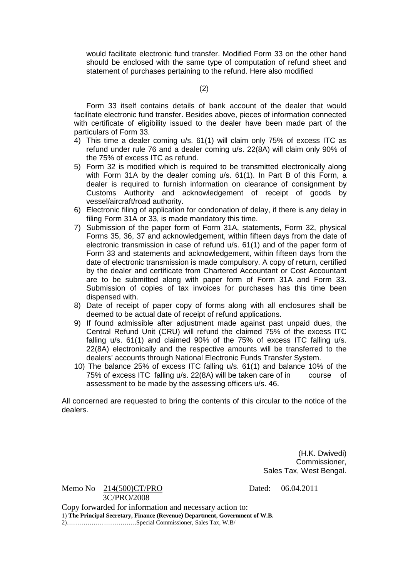would facilitate electronic fund transfer. Modified Form 33 on the other hand should be enclosed with the same type of computation of refund sheet and statement of purchases pertaining to the refund. Here also modified

(2)

 Form 33 itself contains details of bank account of the dealer that would facilitate electronic fund transfer. Besides above, pieces of information connected with certificate of eligibility issued to the dealer have been made part of the particulars of Form 33.

- 4) This time a dealer coming u/s. 61(1) will claim only 75% of excess ITC as refund under rule 76 and a dealer coming u/s. 22(8A) will claim only 90% of the 75% of excess ITC as refund.
- 5) Form 32 is modified which is required to be transmitted electronically along with Form 31A by the dealer coming u/s. 61(1). In Part B of this Form, a dealer is required to furnish information on clearance of consignment by Customs Authority and acknowledgement of receipt of goods by vessel/aircraft/road authority.
- 6) Electronic filing of application for condonation of delay, if there is any delay in filing Form 31A or 33, is made mandatory this time.
- 7) Submission of the paper form of Form 31A, statements, Form 32, physical Forms 35, 36, 37 and acknowledgement, within fifteen days from the date of electronic transmission in case of refund u/s. 61(1) and of the paper form of Form 33 and statements and acknowledgement, within fifteen days from the date of electronic transmission is made compulsory. A copy of return, certified by the dealer and certificate from Chartered Accountant or Cost Accountant are to be submitted along with paper form of Form 31A and Form 33. Submission of copies of tax invoices for purchases has this time been dispensed with.
- 8) Date of receipt of paper copy of forms along with all enclosures shall be deemed to be actual date of receipt of refund applications.
- 9) If found admissible after adjustment made against past unpaid dues, the Central Refund Unit (CRU) will refund the claimed 75% of the excess ITC falling u/s. 61(1) and claimed 90% of the 75% of excess ITC falling u/s. 22(8A) electronically and the respective amounts will be transferred to the dealers' accounts through National Electronic Funds Transfer System.
- 10) The balance 25% of excess ITC falling u/s. 61(1) and balance 10% of the 75% of excess ITC falling u/s. 22(8A) will be taken care of in course of assessment to be made by the assessing officers u/s. 46.

All concerned are requested to bring the contents of this circular to the notice of the dealers.

> (H.K. Dwivedi) Commissioner, Sales Tax, West Bengal.

|                                                                              | Memo No $214(500)CT/PRO$ | Dated: |
|------------------------------------------------------------------------------|--------------------------|--------|
|                                                                              | 3C/PRO/2008              |        |
| Copy forwarded for information and necessary action to:                      |                          |        |
| 1) The Principal Secretary, Finance (Revenue) Department, Government of W.B. |                          |        |
|                                                                              |                          |        |

 $\text{nted:} \quad 06.04.2011$